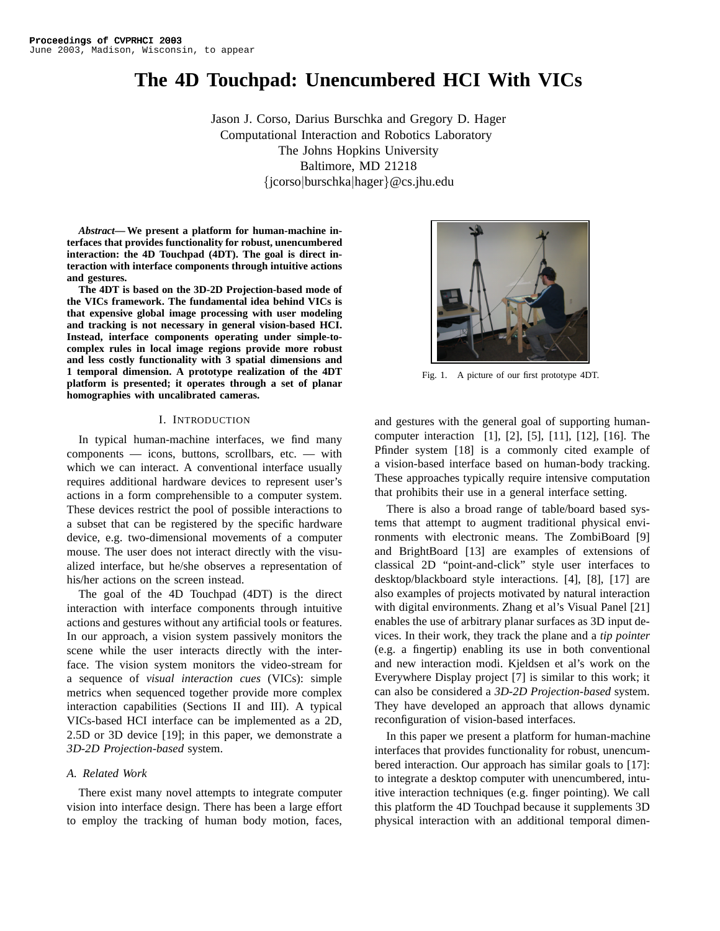# **The 4D Touchpad: Unencumbered HCI With VICs**

Jason J. Corso, Darius Burschka and Gregory D. Hager Computational Interaction and Robotics Laboratory The Johns Hopkins University Baltimore, MD 21218 {jcorso|burschka|hager}@cs.jhu.edu

*Abstract***— We present a platform for human-machine interfaces that provides functionality for robust, unencumbered interaction: the 4D Touchpad (4DT). The goal is direct interaction with interface components through intuitive actions and gestures.**

**The 4DT is based on the 3D-2D Projection-based mode of the VICs framework. The fundamental idea behind VICs is that expensive global image processing with user modeling and tracking is not necessary in general vision-based HCI. Instead, interface components operating under simple-tocomplex rules in local image regions provide more robust and less costly functionality with 3 spatial dimensions and 1 temporal dimension. A prototype realization of the 4DT platform is presented; it operates through a set of planar homographies with uncalibrated cameras.**

## I. INTRODUCTION

In typical human-machine interfaces, we find many components — icons, buttons, scrollbars, etc. — with which we can interact. A conventional interface usually requires additional hardware devices to represent user's actions in a form comprehensible to a computer system. These devices restrict the pool of possible interactions to a subset that can be registered by the specific hardware device, e.g. two-dimensional movements of a computer mouse. The user does not interact directly with the visualized interface, but he/she observes a representation of his/her actions on the screen instead.

The goal of the 4D Touchpad (4DT) is the direct interaction with interface components through intuitive actions and gestures without any artificial tools or features. In our approach, a vision system passively monitors the scene while the user interacts directly with the interface. The vision system monitors the video-stream for a sequence of *visual interaction cues* (VICs): simple metrics when sequenced together provide more complex interaction capabilities (Sections II and III). A typical VICs-based HCI interface can be implemented as a 2D, 2.5D or 3D device [19]; in this paper, we demonstrate a *3D-2D Projection-based* system.

## *A. Related Work*

There exist many novel attempts to integrate computer vision into interface design. There has been a large effort to employ the tracking of human body motion, faces,



Fig. 1. A picture of our first prototype 4DT.

and gestures with the general goal of supporting humancomputer interaction [1], [2], [5], [11], [12], [16]. The Pfinder system [18] is a commonly cited example of a vision-based interface based on human-body tracking. These approaches typically require intensive computation that prohibits their use in a general interface setting.

There is also a broad range of table/board based systems that attempt to augment traditional physical environments with electronic means. The ZombiBoard [9] and BrightBoard [13] are examples of extensions of classical 2D "point-and-click" style user interfaces to desktop/blackboard style interactions. [4], [8], [17] are also examples of projects motivated by natural interaction with digital environments. Zhang et al's Visual Panel [21] enables the use of arbitrary planar surfaces as 3D input devices. In their work, they track the plane and a *tip pointer* (e.g. a fingertip) enabling its use in both conventional and new interaction modi. Kjeldsen et al's work on the Everywhere Display project [7] is similar to this work; it can also be considered a *3D-2D Projection-based* system. They have developed an approach that allows dynamic reconfiguration of vision-based interfaces.

In this paper we present a platform for human-machine interfaces that provides functionality for robust, unencumbered interaction. Our approach has similar goals to [17]: to integrate a desktop computer with unencumbered, intuitive interaction techniques (e.g. finger pointing). We call this platform the 4D Touchpad because it supplements 3D physical interaction with an additional temporal dimen-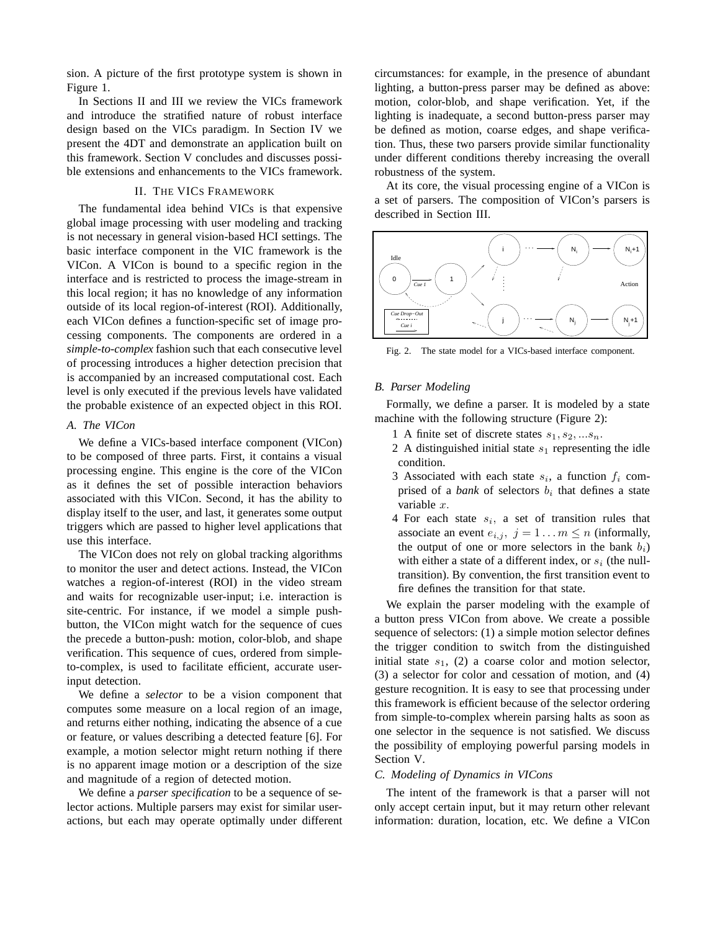sion. A picture of the first prototype system is shown in Figure 1.

In Sections II and III we review the VICs framework and introduce the stratified nature of robust interface design based on the VICs paradigm. In Section IV we present the 4DT and demonstrate an application built on this framework. Section V concludes and discusses possible extensions and enhancements to the VICs framework.

## II. THE VICS FRAMEWORK

The fundamental idea behind VICs is that expensive global image processing with user modeling and tracking is not necessary in general vision-based HCI settings. The basic interface component in the VIC framework is the VICon. A VICon is bound to a specific region in the interface and is restricted to process the image-stream in this local region; it has no knowledge of any information outside of its local region-of-interest (ROI). Additionally, each VICon defines a function-specific set of image processing components. The components are ordered in a *simple-to-complex* fashion such that each consecutive level of processing introduces a higher detection precision that is accompanied by an increased computational cost. Each level is only executed if the previous levels have validated the probable existence of an expected object in this ROI.

# *A. The VICon*

We define a VICs-based interface component (VICon) to be composed of three parts. First, it contains a visual processing engine. This engine is the core of the VICon as it defines the set of possible interaction behaviors associated with this VICon. Second, it has the ability to display itself to the user, and last, it generates some output triggers which are passed to higher level applications that use this interface.

The VICon does not rely on global tracking algorithms to monitor the user and detect actions. Instead, the VICon watches a region-of-interest (ROI) in the video stream and waits for recognizable user-input; i.e. interaction is site-centric. For instance, if we model a simple pushbutton, the VICon might watch for the sequence of cues the precede a button-push: motion, color-blob, and shape verification. This sequence of cues, ordered from simpleto-complex, is used to facilitate efficient, accurate userinput detection.

We define a *selector* to be a vision component that computes some measure on a local region of an image, and returns either nothing, indicating the absence of a cue or feature, or values describing a detected feature [6]. For example, a motion selector might return nothing if there is no apparent image motion or a description of the size and magnitude of a region of detected motion.

We define a *parser specification* to be a sequence of selector actions. Multiple parsers may exist for similar useractions, but each may operate optimally under different circumstances: for example, in the presence of abundant lighting, a button-press parser may be defined as above: motion, color-blob, and shape verification. Yet, if the lighting is inadequate, a second button-press parser may be defined as motion, coarse edges, and shape verification. Thus, these two parsers provide similar functionality under different conditions thereby increasing the overall robustness of the system.

At its core, the visual processing engine of a VICon is a set of parsers. The composition of VICon's parsers is described in Section III.



Fig. 2. The state model for a VICs-based interface component.

#### *B. Parser Modeling*

Formally, we define a parser. It is modeled by a state machine with the following structure (Figure 2):

- 1 A finite set of discrete states  $s_1, s_2, ... s_n$ .
- 2 A distinguished initial state  $s_1$  representing the idle condition.
- 3 Associated with each state  $s_i$ , a function  $f_i$  comprised of a *bank* of selectors  $b_i$  that defines a state variable x.
- 4 For each state  $s_i$ , a set of transition rules that associate an event  $e_{i,j}$ ,  $j = 1...m \leq n$  (informally, the output of one or more selectors in the bank  $b_i$ ) with either a state of a different index, or  $s_i$  (the nulltransition). By convention, the first transition event to fire defines the transition for that state.

We explain the parser modeling with the example of a button press VICon from above. We create a possible sequence of selectors: (1) a simple motion selector defines the trigger condition to switch from the distinguished initial state  $s_1$ , (2) a coarse color and motion selector, (3) a selector for color and cessation of motion, and (4) gesture recognition. It is easy to see that processing under this framework is efficient because of the selector ordering from simple-to-complex wherein parsing halts as soon as one selector in the sequence is not satisfied. We discuss the possibility of employing powerful parsing models in Section V.

#### *C. Modeling of Dynamics in VICons*

The intent of the framework is that a parser will not only accept certain input, but it may return other relevant information: duration, location, etc. We define a VICon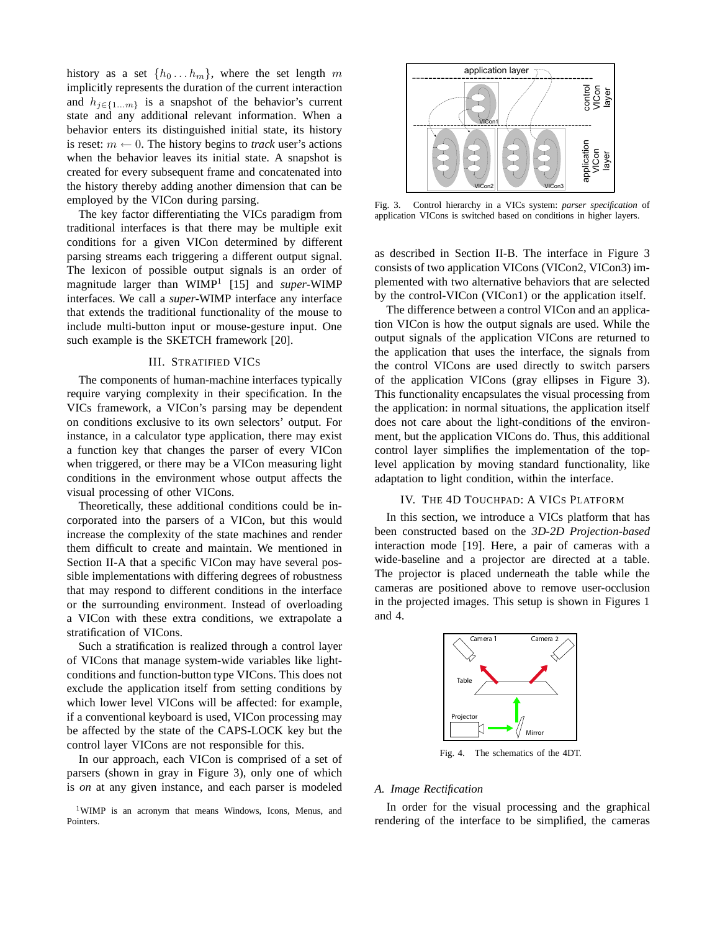history as a set  $\{h_0 \dots h_m\}$ , where the set length m implicitly represents the duration of the current interaction and  $h_{j \in \{1...m\}}$  is a snapshot of the behavior's current state and any additional relevant information. When a behavior enters its distinguished initial state, its history is reset:  $m \leftarrow 0$ . The history begins to *track* user's actions when the behavior leaves its initial state. A snapshot is created for every subsequent frame and concatenated into the history thereby adding another dimension that can be employed by the VICon during parsing.

The key factor differentiating the VICs paradigm from traditional interfaces is that there may be multiple exit conditions for a given VICon determined by different parsing streams each triggering a different output signal. The lexicon of possible output signals is an order of magnitude larger than WIMP<sup>1</sup> [15] and *super*-WIMP interfaces. We call a *super*-WIMP interface any interface that extends the traditional functionality of the mouse to include multi-button input or mouse-gesture input. One such example is the SKETCH framework [20].

## III. STRATIFIED VICS

The components of human-machine interfaces typically require varying complexity in their specification. In the VICs framework, a VICon's parsing may be dependent on conditions exclusive to its own selectors' output. For instance, in a calculator type application, there may exist a function key that changes the parser of every VICon when triggered, or there may be a VICon measuring light conditions in the environment whose output affects the visual processing of other VICons.

Theoretically, these additional conditions could be incorporated into the parsers of a VICon, but this would increase the complexity of the state machines and render them difficult to create and maintain. We mentioned in Section II-A that a specific VICon may have several possible implementations with differing degrees of robustness that may respond to different conditions in the interface or the surrounding environment. Instead of overloading a VICon with these extra conditions, we extrapolate a stratification of VICons.

Such a stratification is realized through a control layer of VICons that manage system-wide variables like lightconditions and function-button type VICons. This does not exclude the application itself from setting conditions by which lower level VICons will be affected: for example, if a conventional keyboard is used, VICon processing may be affected by the state of the CAPS-LOCK key but the control layer VICons are not responsible for this.

In our approach, each VICon is comprised of a set of parsers (shown in gray in Figure 3), only one of which is *on* at any given instance, and each parser is modeled





Fig. 3. Control hierarchy in a VICs system: *parser specification* of application VICons is switched based on conditions in higher layers.

as described in Section II-B. The interface in Figure 3 consists of two application VICons (VICon2, VICon3) implemented with two alternative behaviors that are selected by the control-VICon (VICon1) or the application itself.

The difference between a control VICon and an application VICon is how the output signals are used. While the output signals of the application VICons are returned to the application that uses the interface, the signals from the control VICons are used directly to switch parsers of the application VICons (gray ellipses in Figure 3). This functionality encapsulates the visual processing from the application: in normal situations, the application itself does not care about the light-conditions of the environment, but the application VICons do. Thus, this additional control layer simplifies the implementation of the toplevel application by moving standard functionality, like adaptation to light condition, within the interface.

#### IV. THE 4D TOUCHPAD: A VICS PLATFORM

In this section, we introduce a VICs platform that has been constructed based on the *3D-2D Projection-based* interaction mode [19]. Here, a pair of cameras with a wide-baseline and a projector are directed at a table. The projector is placed underneath the table while the cameras are positioned above to remove user-occlusion in the projected images. This setup is shown in Figures 1 and 4.



Fig. 4. The schematics of the 4DT.

## *A. Image Rectification*

In order for the visual processing and the graphical rendering of the interface to be simplified, the cameras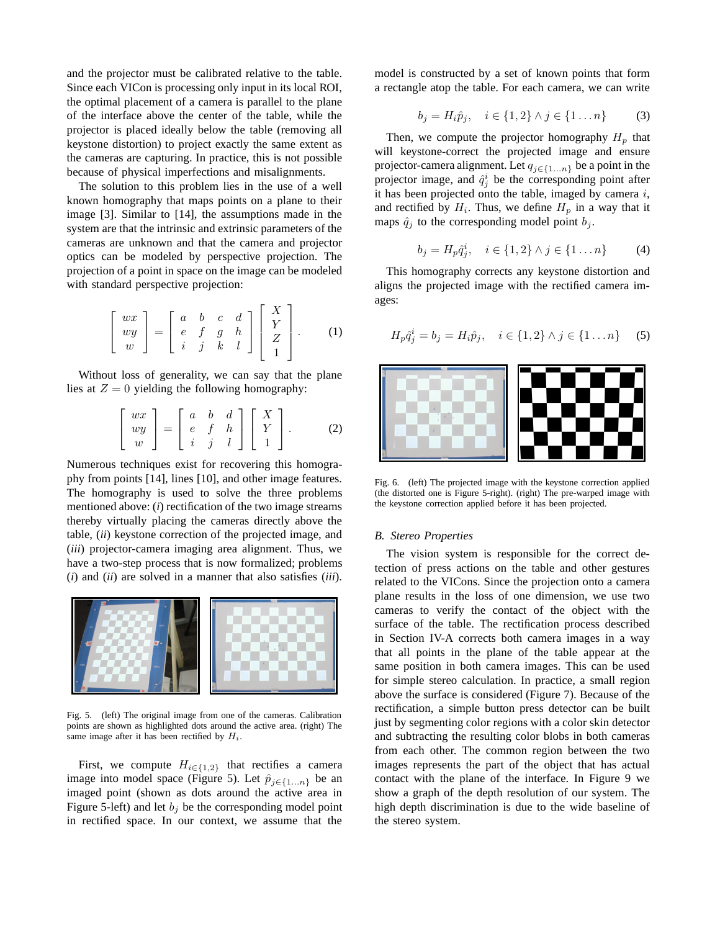and the projector must be calibrated relative to the table. Since each VICon is processing only input in its local ROI, the optimal placement of a camera is parallel to the plane of the interface above the center of the table, while the projector is placed ideally below the table (removing all keystone distortion) to project exactly the same extent as the cameras are capturing. In practice, this is not possible because of physical imperfections and misalignments.

The solution to this problem lies in the use of a well known homography that maps points on a plane to their image [3]. Similar to [14], the assumptions made in the system are that the intrinsic and extrinsic parameters of the cameras are unknown and that the camera and projector optics can be modeled by perspective projection. The projection of a point in space on the image can be modeled with standard perspective projection:

$$
\begin{bmatrix} wx \\ wy \\ w \end{bmatrix} = \begin{bmatrix} a & b & c & d \\ e & f & g & h \\ i & j & k & l \end{bmatrix} \begin{bmatrix} X \\ Y \\ Z \\ 1 \end{bmatrix}.
$$
 (1)

Without loss of generality, we can say that the plane lies at  $Z = 0$  yielding the following homography:

$$
\left[\begin{array}{c} wx \\ wy \\ w \end{array}\right] = \left[\begin{array}{ccc} a & b & d \\ e & f & h \\ i & j & l \end{array}\right] \left[\begin{array}{c} X \\ Y \\ 1 \end{array}\right].
$$
 (2)

Numerous techniques exist for recovering this homography from points [14], lines [10], and other image features. The homography is used to solve the three problems mentioned above: (*i*) rectification of the two image streams thereby virtually placing the cameras directly above the table, (*ii*) keystone correction of the projected image, and (*iii*) projector-camera imaging area alignment. Thus, we have a two-step process that is now formalized; problems (*i*) and (*ii*) are solved in a manner that also satisfies (*iii*).



Fig. 5. (left) The original image from one of the cameras. Calibration points are shown as highlighted dots around the active area. (right) The same image after it has been rectified by  $H_i$ .

First, we compute  $H_{i \in \{1,2\}}$  that rectifies a camera image into model space (Figure 5). Let  $\hat{p}_{j\in\{1...n\}}$  be an imaged point (shown as dots around the active area in Figure 5-left) and let  $b_j$  be the corresponding model point in rectified space. In our context, we assume that the model is constructed by a set of known points that form a rectangle atop the table. For each camera, we can write

$$
b_j = H_i \hat{p}_j, \quad i \in \{1, 2\} \land j \in \{1 \dots n\}
$$
 (3)

Then, we compute the projector homography  $H_p$  that will keystone-correct the projected image and ensure projector-camera alignment. Let  $q_{j \in \{1...n\}}$  be a point in the projector image, and  $\hat{q}_j^i$  be the corresponding point after it has been projected onto the table, imaged by camera  $i$ , and rectified by  $H_i$ . Thus, we define  $H_p$  in a way that it maps  $\hat{q}_j$  to the corresponding model point  $b_j$ .

$$
b_j = H_p \hat{q}_j^i, \quad i \in \{1, 2\} \land j \in \{1 \dots n\}
$$
 (4)

This homography corrects any keystone distortion and aligns the projected image with the rectified camera images:

$$
H_p \hat{q}_j^i = b_j = H_i \hat{p}_j, \quad i \in \{1, 2\} \land j \in \{1 \dots n\} \quad (5)
$$



Fig. 6. (left) The projected image with the keystone correction applied (the distorted one is Figure 5-right). (right) The pre-warped image with the keystone correction applied before it has been projected.

### *B. Stereo Properties*

The vision system is responsible for the correct detection of press actions on the table and other gestures related to the VICons. Since the projection onto a camera plane results in the loss of one dimension, we use two cameras to verify the contact of the object with the surface of the table. The rectification process described in Section IV-A corrects both camera images in a way that all points in the plane of the table appear at the same position in both camera images. This can be used for simple stereo calculation. In practice, a small region above the surface is considered (Figure 7). Because of the rectification, a simple button press detector can be built just by segmenting color regions with a color skin detector and subtracting the resulting color blobs in both cameras from each other. The common region between the two images represents the part of the object that has actual contact with the plane of the interface. In Figure 9 we show a graph of the depth resolution of our system. The high depth discrimination is due to the wide baseline of the stereo system.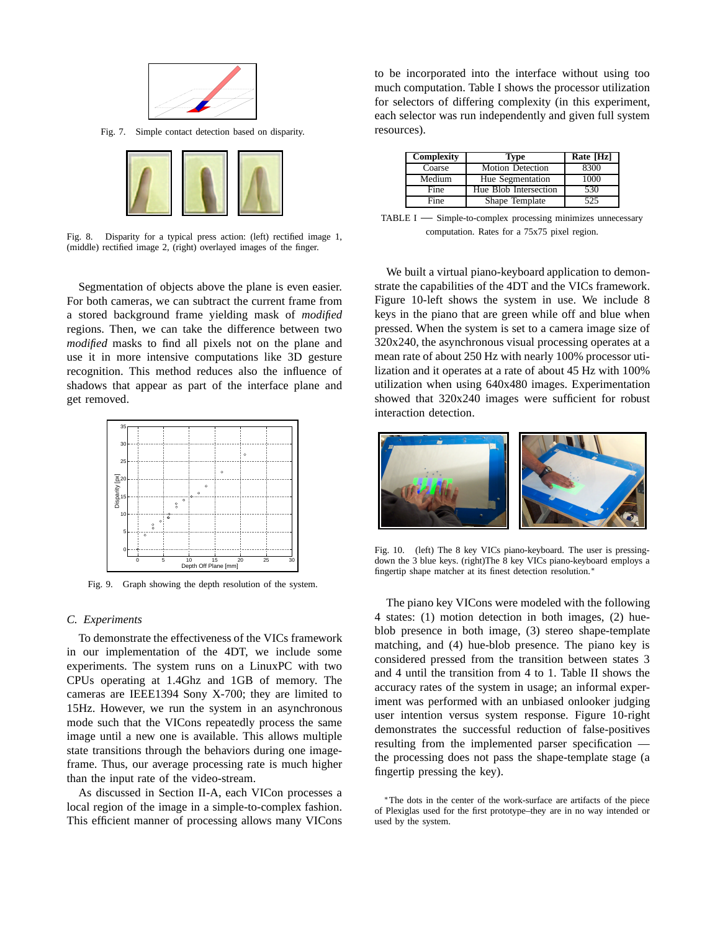

Fig. 7. Simple contact detection based on disparity.



Fig. 8. Disparity for a typical press action: (left) rectified image 1, (middle) rectified image 2, (right) overlayed images of the finger.

Segmentation of objects above the plane is even easier. For both cameras, we can subtract the current frame from a stored background frame yielding mask of *modified* regions. Then, we can take the difference between two *modified* masks to find all pixels not on the plane and use it in more intensive computations like 3D gesture recognition. This method reduces also the influence of shadows that appear as part of the interface plane and get removed.



Fig. 9. Graph showing the depth resolution of the system.

# *C. Experiments*

To demonstrate the effectiveness of the VICs framework in our implementation of the 4DT, we include some experiments. The system runs on a LinuxPC with two CPUs operating at 1.4Ghz and 1GB of memory. The cameras are IEEE1394 Sony X-700; they are limited to 15Hz. However, we run the system in an asynchronous mode such that the VICons repeatedly process the same image until a new one is available. This allows multiple state transitions through the behaviors during one imageframe. Thus, our average processing rate is much higher than the input rate of the video-stream.

As discussed in Section II-A, each VICon processes a local region of the image in a simple-to-complex fashion. This efficient manner of processing allows many VICons to be incorporated into the interface without using too much computation. Table I shows the processor utilization for selectors of differing complexity (in this experiment, each selector was run independently and given full system resources).

| Complexity | Type                    | Rate [Hz] |
|------------|-------------------------|-----------|
| Coarse     | <b>Motion Detection</b> | 8300      |
| Medium     | Hue Segmentation        | $1000 -$  |
| Fine       | Hue Blob Intersection   | 530       |
| Fine       | Shape Template          | 525       |

TABLE I — Simple-to-complex processing minimizes unnecessary computation. Rates for a 75x75 pixel region.

We built a virtual piano-keyboard application to demonstrate the capabilities of the 4DT and the VICs framework. Figure 10-left shows the system in use. We include 8 keys in the piano that are green while off and blue when pressed. When the system is set to a camera image size of 320x240, the asynchronous visual processing operates at a mean rate of about 250 Hz with nearly 100% processor utilization and it operates at a rate of about 45 Hz with 100% utilization when using 640x480 images. Experimentation showed that 320x240 images were sufficient for robust interaction detection.



Fig. 10. (left) The 8 key VICs piano-keyboard. The user is pressingdown the 3 blue keys. (right)The 8 key VICs piano-keyboard employs a fingertip shape matcher at its finest detection resolution.<sup>∗</sup>

The piano key VICons were modeled with the following 4 states: (1) motion detection in both images, (2) hueblob presence in both image, (3) stereo shape-template matching, and (4) hue-blob presence. The piano key is considered pressed from the transition between states 3 and 4 until the transition from 4 to 1. Table II shows the accuracy rates of the system in usage; an informal experiment was performed with an unbiased onlooker judging user intention versus system response. Figure 10-right demonstrates the successful reduction of false-positives resulting from the implemented parser specification the processing does not pass the shape-template stage (a fingertip pressing the key).

<sup>∗</sup>The dots in the center of the work-surface are artifacts of the piece of Plexiglas used for the first prototype–they are in no way intended or used by the system.